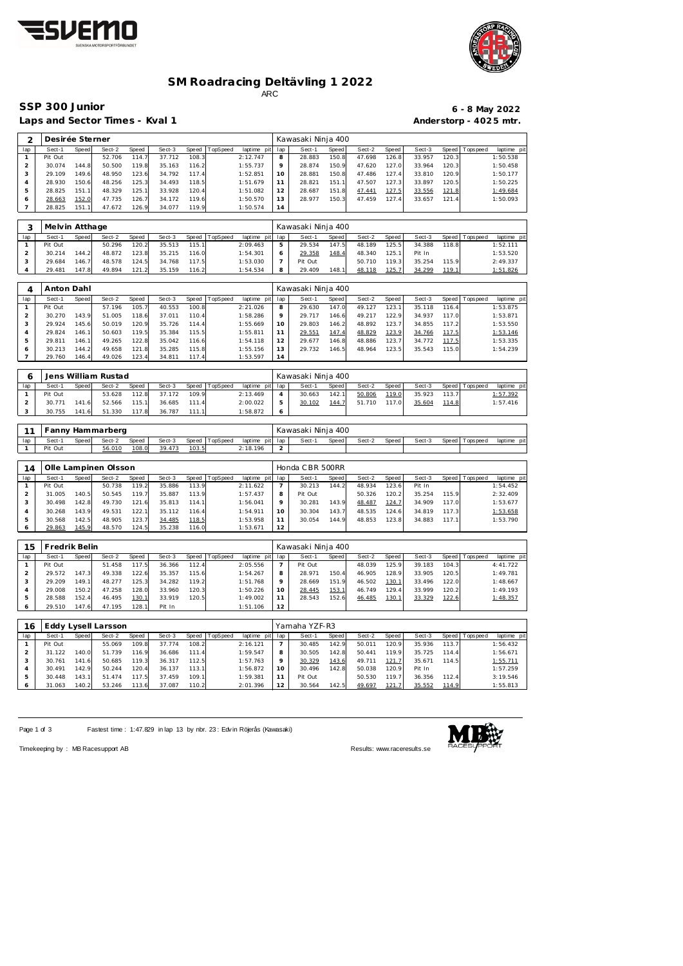



### **SM Roadracing Deltävling 1 2022** ARC

Laps and Sector Times - Kval 1 **Anderstorp - 4025 mtr.** Anderstorp - 4025 mtr.

Desirée Sterner **Manual Access 1986** Kawasaki Ninja 400

# **SSP 300 Junior 6 - 8 May 2022**

| lap                        | Sect-1            | Speed | Sect-2               | Speed          | Sect-3           | Speed          | TopSpeed       | laptime pit             | lap            | Sect-1             | <b>Speed</b> | Sect-2           | Speed          | Sect-3           | Speed          | T ops pee d     | laptime pit             |
|----------------------------|-------------------|-------|----------------------|----------------|------------------|----------------|----------------|-------------------------|----------------|--------------------|--------------|------------------|----------------|------------------|----------------|-----------------|-------------------------|
| $\mathbf{1}$               | Pit Out           |       | 52.706               | 114.7          | 37.712           | 108.3          |                | 2:12.747                | 8              | 28.883             | 150.8        | 47.698           | 126.8          | 33.957           | 120.3          |                 | 1:50.538                |
| $\mathbf{2}$               | 30.074            | 144.8 | 50.500               | 119.8          | 35.163           | 116.2          |                | 1:55.737                | 9              | 28.874             | 150.9        | 47.620           | 127.0          | 33.964           | 120.3          |                 | 1:50.458                |
| 3                          | 29.109            | 149.6 | 48.950               | 123.6          | 34.792           | 117.4          |                | 1:52.851                | 10             | 28.881             | 150.8        | 47.486           | 127.4          | 33.810           | 120.9          |                 | 1:50.177                |
| $\overline{4}$             | 28.930            | 150.6 | 48.256               | 125.3          | 34.493           | 118.5          |                | 1:51.679                | 11             | 28.821             | 151.1        | 47.507           | 127.3          | 33.897           | 120.5          |                 | 1:50.225                |
| $\overline{5}$             | 28.825            | 151.1 | 48.329               | 125.1          | 33.928           | 120.4          |                | 1:51.082                | 12             | 28.687             | 151.8        | 47.441           | 127.5          | 33.556           | 121.8          |                 | 1:49.684                |
| 6                          | 28.663            | 152.0 | 47.735               | 126.7          | 34.172           | 119.6          |                | 1:50.570                | 13             | 28.977             | 150.3        | 47.459           | 127.4          | 33.657           | 121.4          |                 | 1:50.093                |
| $\overline{7}$             | 28.825            | 151.1 | 47.672               | 126.9          | 34.077           | 119.9          |                | 1:50.574                | 14             |                    |              |                  |                |                  |                |                 |                         |
|                            |                   |       |                      |                |                  |                |                |                         |                |                    |              |                  |                |                  |                |                 |                         |
|                            |                   |       |                      |                |                  |                |                |                         |                |                    |              |                  |                |                  |                |                 |                         |
| 3                          | Melvin Atthage    |       |                      |                |                  |                |                |                         |                | Kawasaki Ninja 400 |              |                  |                |                  |                |                 |                         |
| lap                        | Sect-1            | Speed | Sect-2               | Speed          | Sect-3           | Speed          | TopSpeed       | laptime pit             | lap            | Sect-1             | Speed        | Sect-2           | Speed          | Sect-3           | Speed          | Tops pee d      | laptime pit             |
| $\mathbf{1}$               | Pit Out           |       | 50.296               | 120.2          | 35.513           | 115.1          |                | 2:09.463                | 5              | 29.534             | 147.5        | 48.189           | 125.5          | 34.388           | 118.8          |                 | 1:52.111                |
| $\overline{2}$             | 30.214            | 144.2 | 48.872               | 123.8          | 35.215           | 116.0          |                | 1:54.301                | 6              | 29.358             | 148.4        | 48.340           | 125.1          | Pit In           |                |                 | 1:53.520                |
| 3                          | 29.684            | 146.7 | 48.578               | 124.5          | 34.768           | 117.5          |                | 1:53.030                | $\overline{7}$ | Pit Out            |              | 50.710           | 119.3          | 35.254           | 115.9          |                 | 2:49.337                |
| $\overline{4}$             | 29.481            | 147.8 | 49.894               | 121.2          | 35.159           | 116.2          |                | 1:54.534                | 8              | 29.409             | 148.1        | 48.118           | 125.7          | 34.299           | 119.1          |                 | 1:51.826                |
|                            |                   |       |                      |                |                  |                |                |                         |                |                    |              |                  |                |                  |                |                 |                         |
| 4                          | Anton Dahl        |       |                      |                |                  |                |                |                         |                | Kawasaki Ninja 400 |              |                  |                |                  |                |                 |                         |
|                            |                   |       |                      |                |                  |                |                |                         |                |                    |              |                  |                |                  |                |                 |                         |
| lap                        | Sect-1            | Speed | Sect-2               | Speed          | Sect-3           | Speed          | TopSpeed       | laptime pit             | lap            | Sect-1             | Speed        | Sect-2           | Speed          | Sect-3           | Speed          | T ops pee d     | laptime pit             |
| $\mathbf{1}$               | Pit Out           |       | 57.196               | 105.7          | 40.553           | 100.8          |                | 2:21.026                | 8              | 29.630             | 147.0        | 49.127           | 123.1          | 35.118           | 116.4          |                 | 1:53.875                |
| $\overline{c}$             | 30.270            | 143.9 | 51.005               | 118.6          | 37.011           | 110.4          |                | 1:58.286                | 9              | 29.717             | 146.6        | 49.217           | 122.9          | 34.937           | 117.0          |                 | 1:53.871                |
| 3                          | 29.924            | 145.6 | 50.019               | 120.9          | 35.726           | 114.4          |                | 1:55.669                | 10             | 29.803             | 146.2        | 48.892           | 123.7          | 34.855           | 117.2          |                 | 1:53.550                |
| $\overline{4}$             | 29.824            | 146.1 | 50.603               | 119.5          | 35.384           | 115.5          |                | 1:55.811                | 11             | 29.551             | 147.4        | 48.829           | 123.9          | 34.766           | 117.5          |                 | 1:53.146                |
| $\overline{5}$             | 29.811            | 146.1 | 49.265               | 122.8          | 35.042           | 116.6          |                | 1:54.118                | 12             | 29.677             | 146.8        | 48.886           | 123.7          | 34.772           | 117.5          |                 | 1:53.335                |
| 6                          | 30.213            | 144.2 | 49.658               | 121.8          | 35.285           | 115.8          |                | 1:55.156                | 13             | 29.732             | 146.5        | 48.964           | 123.5          | 35.543           | 115.0          |                 | 1:54.239                |
| $\overline{7}$             | 29.760            | 146.4 | 49.026               | 123.4          | 34.811           | 117.4          |                | 1:53.597                | 14             |                    |              |                  |                |                  |                |                 |                         |
|                            |                   |       |                      |                |                  |                |                |                         |                |                    |              |                  |                |                  |                |                 |                         |
| 6                          |                   |       | Jens William Rustad  |                |                  |                |                |                         |                | Kawasaki Ninja 400 |              |                  |                |                  |                |                 |                         |
|                            |                   |       |                      |                |                  |                |                |                         |                |                    |              |                  |                |                  |                |                 |                         |
| lap                        | Sect-1<br>Pit Out | Speed | Sect-2<br>53.628     | Speed          | Sect-3<br>37.172 | Speed<br>109.9 | TopSpeed       | laptime pit<br>2:13.469 | lap<br>4       | Sect-1             | Speed        | Sect-2<br>50.806 | Speed<br>119.0 | Sect-3<br>35.923 | Speed<br>113.7 | T ops pee d     | laptime pit<br>1:57.392 |
| $\mathbf{1}$<br>$\sqrt{2}$ | 30.771            |       | 52.566               | 112.8<br>115.1 | 36.685           | 111.4          |                | 2:00.022                | 5              | 30.663             | 142.1        | 51.710           | 117.0          |                  |                |                 | 1:57.416                |
|                            |                   | 141.6 |                      |                |                  |                |                |                         |                | 30.102             | 144.7        |                  |                | 35.604           | 114.8          |                 |                         |
|                            |                   |       |                      |                |                  |                |                |                         |                |                    |              |                  |                |                  |                |                 |                         |
| 3                          | 30.755            | 141.6 | 51.330               | 117.8          | 36.787           | 111.1          |                | 1:58.872                | 6              |                    |              |                  |                |                  |                |                 |                         |
|                            |                   |       |                      |                |                  |                |                |                         |                |                    |              |                  |                |                  |                |                 |                         |
| 11                         |                   |       | Fanny Hammarberg     |                |                  |                |                |                         |                | Kawasaki Ninja 400 |              |                  |                |                  |                |                 |                         |
|                            | Sect-1            | Speed | Sect-2               |                | Sect-3           | Speed          |                |                         | lap            | Sect-1             |              | Sect-2           |                | Sect-3           | Speed          |                 | laptime pit             |
| lap<br>1                   | Pit Out           |       | 56.010               | Speed<br>108.0 | 39.473           | 103.5          | TopSpeed       | laptime pit<br>2:18.196 | $\overline{2}$ |                    | Speed        |                  | Speed          |                  |                | T ops pee d     |                         |
|                            |                   |       |                      |                |                  |                |                |                         |                |                    |              |                  |                |                  |                |                 |                         |
|                            |                   |       |                      |                |                  |                |                |                         |                |                    |              |                  |                |                  |                |                 |                         |
| 14                         |                   |       | Olle Lampinen Olsson |                |                  |                |                |                         |                | Honda CBR 500RR    |              |                  |                |                  |                |                 |                         |
| lap                        | Sect-1            | Speed | Sect-2               | Speed          | Sect-3           | Speed          | TopSpeed       | laptime pit             | lap            | Sect-1             | Speed        | Sect-2           | Speed          | Sect-3           | Speed          | Tops peed       | laptime pit             |
| $\mathbf{1}$               | Pit Out           |       | 50.738               | 119.2          | 35.886           | 113.9          |                | 2:11.622                | 7              | 30.213             | 144.2        | 48.934           | 123.6          | Pit In           |                |                 | 1:54.452                |
| $\overline{2}$             | 31.005            | 140.5 | 50.545               | 119.7          | 35.887           | 113.9          |                | 1:57.437                | 8              | Pit Out            |              | 50.326           | 120.2          | 35.254           | 115.9          |                 | 2:32.409                |
| 3                          | 30.498            | 142.8 | 49.730               | 121.6          | 35.813           | 114.1          |                | 1:56.041                | 9              | 30.281             | 143.9        | 48.487           | 124.7          | 34.909           | 117.0          |                 | 1:53.677                |
| $\overline{4}$             | 30.268            | 143.9 | 49.531               | 122.1          | 35.112           | 116.4          |                | 1:54.911                | 10             | 30.304             | 143.7        | 48.535           | 124.6          | 34.819           | 117.3          |                 | 1:53.658                |
| $\overline{5}$             | 30.568            | 142.5 | 48.905               | 123.7          | 34.485           | 118.5          |                | 1:53.958                | 11             | 30.054             | 144.9        | 48.853           | 123.8          | 34.883           | 117.1          |                 | 1:53.790                |
| 6                          | 29.863            | 145.9 | 48.570               | 124.5          | 35.238           | 116.0          |                | 1:53.671                | 12             |                    |              |                  |                |                  |                |                 |                         |
|                            |                   |       |                      |                |                  |                |                |                         |                |                    |              |                  |                |                  |                |                 |                         |
| 15                         | Fredrik Belin     |       |                      |                |                  |                |                |                         |                | Kawasaki Ninja 400 |              |                  |                |                  |                |                 |                         |
|                            |                   |       |                      |                |                  |                |                |                         |                |                    |              |                  |                |                  |                |                 |                         |
| lap<br>$\mathbf{1}$        | $Sect-1$          | Speed | Sect-2               | Speed          | Sect-3           | 112.4          | Speed TopSpeed | laptime pit lap         | 7              | Sect-1 Speed       |              | Sect-2<br>48.039 | Speed          | Sect-3           | 104.3          | Speed Tops peed | laptime pit<br>4:41.722 |
|                            | Pit Out           |       | 51.458               | 117.5          | 36.366           |                |                | 2:05.556                |                | Pit Out            |              |                  | 125.9          | 39.183           |                |                 |                         |
| $\overline{2}$             | 29.572            | 147.3 | 49.338               | 122.6          | 35.357           | 115.6          |                | 1:54.267                | 8              | 28.971             | 150.4        | 46.905           | 128.9          | 33.905           | 120.5          |                 | 1:49.781                |
| 3                          | 29.209            | 149.1 | 48.277               | 125.3          | 34.282           | 119.2          |                | 1:51.768                | 9              | 28.669             | 151.9        | 46.502           | 130.1          | 33.496           | 122.0          |                 | 1:48.667                |
| $\overline{4}$             | 29.008            | 150.2 | 47.258               | 128.0          | 33.960           | 120.3          |                | 1:50.226                | 10             | 28.445             | 153.1        | 46.749           | 129.4          | 33.999           | 120.2          |                 | 1:49.193                |
| $\mathbf 5$                | 28.588            | 152.4 | 46.495               | 130.1          | 33.919           | 120.5          |                | 1:49.002                | 11             | 28.543             | 152.6        | 46.485           | 130.1          | 33.329           | 122.6          |                 | 1:48.357                |
| 6                          | 29.510            | 147.6 | 47.195               | 128.1          | Pit In           |                |                | 1:51.106                | 12             |                    |              |                  |                |                  |                |                 |                         |
|                            |                   |       |                      |                |                  |                |                |                         |                |                    |              |                  |                |                  |                |                 |                         |
| 16                         |                   |       | Eddy Lysell Larsson  |                |                  |                |                |                         |                | Yamaha YZF-R3      |              |                  |                |                  |                |                 |                         |
| lap                        | Sect-1            | Speed | Sect-2               | Speed          | Sect-3           | Speed          | TopSpeed       | laptime pit             | lap            | Sect-1             | <b>Speed</b> | Sect-2           | Speed          | Sect-3           | Speed          | Tops peed       | laptime pit             |
| $\mathbf{1}$               | Pit Out           |       | 55.069               | 109.8          | 37.774           | 108.2          |                | 2:16.121                | $\overline{7}$ | 30.485             | 142.9        | 50.011           | 120.9          | 35.936           | 113.7          |                 | 1:56.432                |
| $\overline{2}$             | 31.122            | 140.0 | 51.739               | 116.9          | 36.686           | 111.4          |                | 1:59.547                | 8              | 30.505             | 142.8        | 50.441           | 119.9          | 35.725           | 114.4          |                 | 1:56.671                |
| 3                          | 30.761            | 141.6 | 50.685               | 119.3          | 36.317           | 112.5          |                | 1:57.763                | 9              | 30.329             | 143.6        | 49.711           | 121.7          | 35.671           | 114.5          |                 | 1:55.711                |

Page 1 of 3 Fastest time : 1:47.829 in lap 13 by nbr. 23 : Edv in Röjerås (Kawasaki)

 30.448 143.1 51.474 117.5 37.459 109.1 1:59.381 31.063 140.2 53.246 113.6 37.087 110.2 2:01.396



11 Pit Out 50.530 119.7 36.356 112.4 3:19.546 30.564 142.5 49.697 121.7 35.552 114.9 1:55.813

Timekeeping by : MB Racesupport AB **Results:<www.raceresults.se>**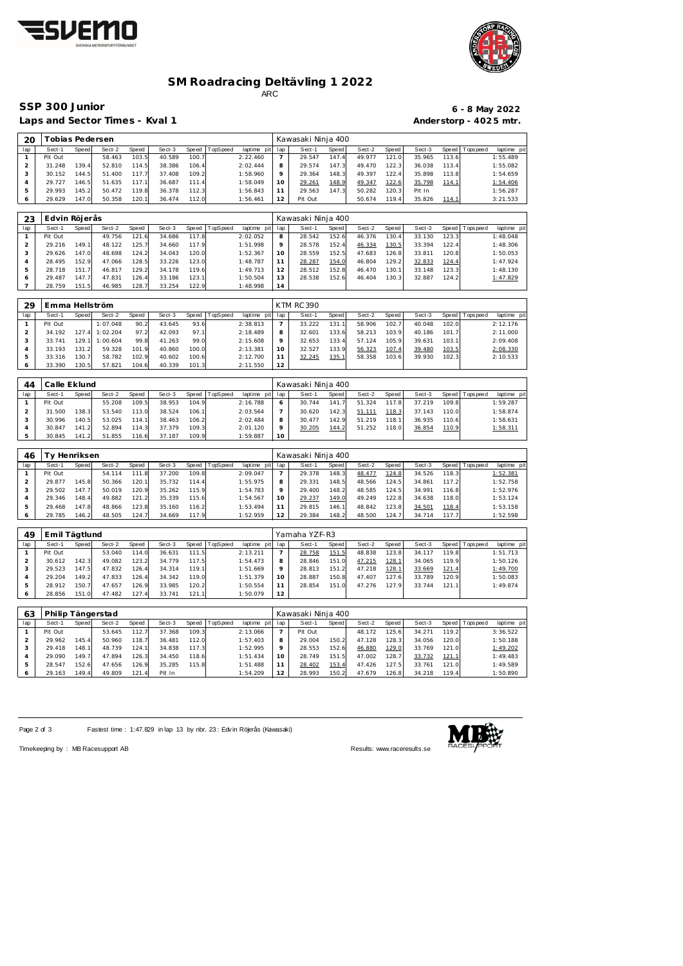



### **SM Roadracing Deltävling 1 2022** ARC

Laps and Sector Times - Kval 1 **Anderstorp - 4025 mtr.** 

# **SSP 300 Junior 6 - 8 May 2022**

| 20           |         | Tobias Pedersen |        |       |        |                  |             |     | Kawasaki Ninja 400 |       |        |        |        |       |                 |             |
|--------------|---------|-----------------|--------|-------|--------|------------------|-------------|-----|--------------------|-------|--------|--------|--------|-------|-----------------|-------------|
| lap          | Sect-1  | Speed           | Sect-2 | Speed | Sect-3 | Speed   TopSpeed | laptime pit | lap | Sect-1             | Speed | Sect-2 | Speed  | Sect-3 |       | Speed Tops peed | laptime pit |
|              | Pit Out |                 | 58.463 | 103.5 | 40.589 | 100.7            | 2:22.460    |     | 29.547             | 147.4 | 49.977 | 121.0  | 35.965 | 113.6 |                 | 1:55.489    |
|              | 31.248  | 139.4           | 52.810 | 114.5 | 38.386 | 106.4            | 2:02.444    | 8   | 29.574             | 147.3 | 49.470 | 122.3  | 36.038 | 113.4 |                 | 1:55.082    |
|              | 30.152  | 144.5           | 51.400 | 117.7 | 37.408 | 109.2            | 1:58.960    | Q   | 29.364             | 148.3 | 49.397 | 122.4  | 35.898 | 113.8 |                 | 1:54.659    |
| 4            | 29.727  | 146.5           | 51.635 | 117.1 | 36.687 | 111.4            | 1:58.049    | 10  | 29.261             | 148.9 | 49.347 | 122.6  | 35.798 | 114.1 |                 | 1:54.406    |
|              | 29.993  | 145.2           | 50.472 | 119.8 | 36.378 | 112.3            | 1:56.843    |     | 29.563             | 147.3 | 50.282 | 120.3  | Pit In |       |                 | 1:56.287    |
| <sup>6</sup> | 29.629  | 147.0           | 50.358 | 120.1 | 36.474 | 112.0            | 1:56.461    | 12  | Pit Out            |       | 50.674 | 119.41 | 35.826 | 114.1 |                 | 3:21.533    |
|              |         |                 |        |       |        |                  |             |     |                    |       |        |        |        |       |                 |             |
|              |         |                 |        |       |        |                  |             |     |                    |       |        |        |        |       |                 |             |

| 23  | Edvin Röjerås |       |        |       |        |        |          |                 |         | Kawasaki Ninja 400 |       |        |                    |        |       |            |             |
|-----|---------------|-------|--------|-------|--------|--------|----------|-----------------|---------|--------------------|-------|--------|--------------------|--------|-------|------------|-------------|
| lap | Sect-1        | Speed | Sect-2 | Speed | Sect-3 | Speed  | TopSpeed | laptime pit lap |         | Sect-1             | Speed | Sect-2 | Speed              | Sect-3 | Speed | Tops pee d | laptime pit |
|     | Pit Out       |       | 49.756 | 121.6 | 34.686 | 117.8  |          | 2:02.052        | 8       | 28.542             | 152.6 | 46.376 | 130.4 <sub>1</sub> | 33.130 | 123.3 |            | 1:48.048    |
|     | 29.216        | 149.1 | 48.122 | 125.7 | 34.660 | 117.9  |          | 1:51.998        | $\circ$ | 28.578             | 152.4 | 46.334 | 130.5              | 33.394 | 122.4 |            | 1:48.306    |
|     | 29.626        | 147.0 | 48.698 | 124.2 | 34.043 | 120.0  |          | 1:52.367        | 10      | 28.559             | 152.5 | 47.683 | 126.8              | 33.811 | 120.8 |            | 1:50.053    |
|     | 28.495        | 152.9 | 47.066 | 128.5 | 33.226 | 123.0  |          | 1:48.787        |         | 28.287             | 154.0 | 46.804 | 129.2              | 32.833 | 124.4 |            | 1:47.924    |
|     | 28.718        | 151.7 | 46.817 | 129.2 | 34.178 | 119.6  |          | 1:49.713        |         | 28.512             | 152.8 | 46.470 | 130.1              | 33.148 | 123.3 |            | 1:48.130    |
|     | 29.487        | 147.7 | 47.831 | 126.4 | 33.186 | 123.11 |          | 1:50.504        |         | 28.538             | 152.6 | 46.404 | 130.3              | 32.887 | 124.2 |            | 1:47.829    |
|     | 28.759        | 151.5 | 46.985 | 128.7 | 33.254 | 122.9  |          | 1:48.998        | 14      |                    |       |        |                    |        |       |            |             |

| 29  | Emma Hellström |       |          |       |        |       |                 |                 |                 | <b>KTM RC 390</b> |       |        |       |        |       |            |             |
|-----|----------------|-------|----------|-------|--------|-------|-----------------|-----------------|-----------------|-------------------|-------|--------|-------|--------|-------|------------|-------------|
| lap | Sect-1         | Speed | Sect-2   | Speed | Sect-3 | Speed | <b>TopSpeed</b> | laptime pit lap |                 | Sect-1            | Speed | Sect-2 | Speed | Sect-3 | Speed | Tops pee d | laptime pit |
|     | Pit Out        |       | 1:07.048 | 90.2  | 43.645 | 93.6  |                 | 2:38.813        |                 | 33.222            | 131.  | 58.906 | 102.7 | 40.048 | 102.0 |            | 2:12.176    |
|     | 34.192         | 127.4 | 1:02.204 | 97.2  | 42.093 | 97.1  |                 | 2:18.489        |                 | 32.601            | 133.6 | 58.213 | 103.9 | 40.186 | 101.7 |            | 2:11.000    |
|     | 33.741         | 129.1 | : 00.604 | 99.8  | 41.263 | 99.0  |                 | 2:15.608        |                 | 32.653            | 133.4 | 57.124 | 105.9 | 39.631 | 103.1 |            | 2:09.408    |
|     | 33.193         | 131.2 | 59.328   | 101.9 | 40.860 | 100.0 |                 | 2:13.381        | 10 <sup>°</sup> | 32.527            | 133.9 | 56.323 | 107.4 | 39.480 | 103.5 |            | 2:08.330    |
|     | 33.316         | 130.7 | 58.782   | 102.9 | 40.602 | 100.6 |                 | 2:12.700        |                 | 32.245            | 135.1 | 58.358 | 103.6 | 39.930 | 102.3 |            | 2:10.533    |
|     | 33.390         | 130.5 | 57.821   | 104.6 | 40.339 | 101.3 |                 | 2:11.550        | 12 <sup>1</sup> |                   |       |        |       |        |       |            |             |

| 44  | Calle Eklund |       |        |       |        |       |          |                 |         | Kawasaki Ninja 400 |       |        |       |        |       |                 |             |
|-----|--------------|-------|--------|-------|--------|-------|----------|-----------------|---------|--------------------|-------|--------|-------|--------|-------|-----------------|-------------|
| lap | Sect-1       | Speed | Sect-2 | Speed | Sect-3 | Speed | TopSpeed | laptime pit lap |         | Sect-1             | Speed | Sect-2 | Speed | Sect-3 |       | Speed Tops peed | laptime pit |
|     | Pit Out      |       | 55.208 | 109.5 | 38.953 | 104.9 |          | 2:16.788        | $\circ$ | 30.744             | 141.  | 51.324 | 117.8 | 37.219 | 109.8 |                 | 1:59.287    |
|     | 31.500       | 138.3 | 53.540 | 113.0 | 38.524 | 106.1 |          | 2:03.564        |         | 30.620             | 142.3 | 51.111 | 118.3 | 37.143 | 110.0 |                 | 1:58.874    |
|     | 30.996       | 140.5 | 53.025 | 114.1 | 38.463 | 106.2 |          | 2:02.484        | 8       | 30.477             | 142.9 | 51.219 | 118.1 | 36.935 | 110.6 |                 | 1:58.631    |
|     | 30.847       | 141.2 | 52.894 | 114.3 | 37.379 | 109.3 |          | 2:01.120        | $\circ$ | 30.205             | 144.2 | 51.252 | 118.0 | 36.854 | 110.9 |                 | 1:58.311    |
|     | 30.845       | 141.2 | 51.855 | 116.6 | 37.187 | 109.9 |          | 1:59.887        | 10      |                    |       |        |       |        |       |                 |             |

| 46  |         | [v Henriksen] |        |       |        |       |                |                 |         | Kawasaki Ninja 400 |       |        |       |        |       |                 |             |
|-----|---------|---------------|--------|-------|--------|-------|----------------|-----------------|---------|--------------------|-------|--------|-------|--------|-------|-----------------|-------------|
| lap | Sect-1  | Speed         | Sect-2 | Speed | Sect-3 |       | Speed TopSpeed | laptime pit lap |         | Sect-1             | Speed | Sect-2 | Speed | Sect-3 |       | Speed Tops peed | laptime pit |
|     | Pit Out |               | 54.114 | 111.8 | 37.200 | 109.8 |                | 2:09.047        |         | 29.378             | 148.3 | 48.477 | 124.8 | 34.526 | 118.3 |                 | 1:52.381    |
|     | 29.877  | 145.8         | 50.366 | 120.1 | 35.732 | 114.4 |                | 1:55.975        |         | 29.331             | 148.5 | 48.566 | 124.5 | 34.861 | 117.2 |                 | 1:52.758    |
|     | 29.502  | 147.7         | 50.019 | 120.9 | 35.262 | 115.9 |                | 1:54.783        | $\circ$ | 29.400             | 148.2 | 48.585 | 124.5 | 34.991 | 116.8 |                 | 1:52.976    |
|     | 29.346  | 148.4         | 49.882 | 121.2 | 35.339 | 115.6 |                | 1:54.567        | 10      | 29.237             | 149.0 | 49.249 | 122.8 | 34.638 | 118.0 |                 | 1:53.124    |
| 5   | 29.468  | 147.8         | 48.866 | 123.8 | 35.160 | 116.2 |                | 1:53.494        | -1      | 29.815             | 146.1 | 48.842 | 123.8 | 34.501 | 118.4 |                 | 1:53.158    |
|     | 29.785  | 146.2         | 48.505 | 124.7 | 34.669 | 117.9 |                | 1:52.959        | 12      | 29.384             | 148.2 | 48.500 | 124.7 | 34.714 | 117.7 |                 | 1:52.598    |

| 49  | Emil Tägtlund |       |        |       |        |        |          |             |     | Yamaha YZF-R3 |       |        |       |        |       |                 |             |
|-----|---------------|-------|--------|-------|--------|--------|----------|-------------|-----|---------------|-------|--------|-------|--------|-------|-----------------|-------------|
| lap | Sect-1        | Speed | Sect-2 | Speed | Sect-3 | Speed  | TopSpeed | laptime pit | lap | Sect-1        | Speed | Sect-2 | Speed | Sect-3 |       | Speed Tops peed | laptime pit |
|     | Pit Out       |       | 53.040 | 114.0 | 36.631 | 111.5  |          | 2:13.211    |     | 28.758        | 151.5 | 48.838 | 123.8 | 34.117 | 119.8 |                 | 1:51.713    |
|     | 30.612        | 142.3 | 49.082 | 123.2 | 34.779 | 117.5  |          | 1:54.473    | 8   | 28.846        | 151.0 | 47.215 | 128.1 | 34.065 | 119.9 |                 | 1:50.126    |
|     | 29.523        | 147.5 | 47.832 | 126.4 | 34.314 | 119.1  |          | 1:51.669    | 9   | 28.813        | 151.2 | 47.218 | 128.1 | 33.669 | 121.4 |                 | 1:49.700    |
|     | 29.204        | 149.2 | 47.833 | 126.4 | 34.342 | 119.0  |          | 1:51.379    | 10  | 28.887        | 150.8 | 47.407 | 127.6 | 33.789 | 120.9 |                 | 1:50.083    |
|     | 28.912        | 150.7 | 47.657 | 126.9 | 33.985 | 120.21 |          | 1:50.554    |     | 28.854        | 151.0 | 47.276 | 127.9 | 33.744 | 121.1 |                 | 1:49.874    |
|     | 28.856        | 151.0 | 47.482 | 127.4 | 33.741 | 121.1  |          | 1:50.079    | 12  |               |       |        |       |        |       |                 |             |

| 63  |         |       | Philip Tängerstad |              |        |       |          |                 |         | Kawasaki Ninja 400 |       |        |        |        |       |                |             |
|-----|---------|-------|-------------------|--------------|--------|-------|----------|-----------------|---------|--------------------|-------|--------|--------|--------|-------|----------------|-------------|
| lap | Sect-1  | Speed | Sect-2            | <b>Speed</b> | Sect-3 | Speed | TopSpeed | laptime pit lap |         | Sect-1             | Speed | Sect-2 | Speed  | Sect-3 |       | Speed Topspeed | laptime pit |
|     | Pit Out |       | 53.645            | 112.7        | 37.368 | 109.3 |          | 2:13.066        |         | Pit Out            |       | 48.172 | 125.61 | 34.271 | 119.2 |                | 3:36.522    |
|     | 29.962  | 145.4 | 50.960            | 118.7        | 36.481 | 112.0 |          | 1:57.403        | 8       | 29.004             | 150.2 | 47.128 | 128.3  | 34.056 | 120.0 |                | 1:50.188    |
|     | 29.418  | 148.1 | 48.739            | 124.1        | 34.838 | 117.3 |          | 1:52.995        | $\circ$ | 28.553             | 152.6 | 46.880 | 129.0  | 33.769 | 121.0 |                | 1:49.202    |
|     | 29.090  | 149.7 | 47.894            | 126.3        | 34.450 | 118.6 |          | 1:51.434        | 10      | 28.749             | 151.5 | 47.002 | 128.7  | 33.732 | 121.1 |                | 1:49.483    |
|     | 28.547  | 152.6 | 47.656            | 126.9        | 35.285 | 115.8 |          | 1:51.488        |         | 28.402             | 153.4 | 47.426 | 127.5  | 33.761 | 121.0 |                | 1:49.589    |
|     | 29.163  | 149.4 | 49.809            | 121.4        | Pit In |       |          | 1:54.209        | 12      | 28.993             | 150.2 | 47.679 | 126.8  | 34.218 | 119.4 |                | 1:50.890    |

Page 2 of 3 Fastest time : 1:47.829 in lap 13 by nbr. 23 : Edv in Röjerås (Kawasaki)



Timekeeping by : MB Racesupport AB Results:<www.raceresults.se>